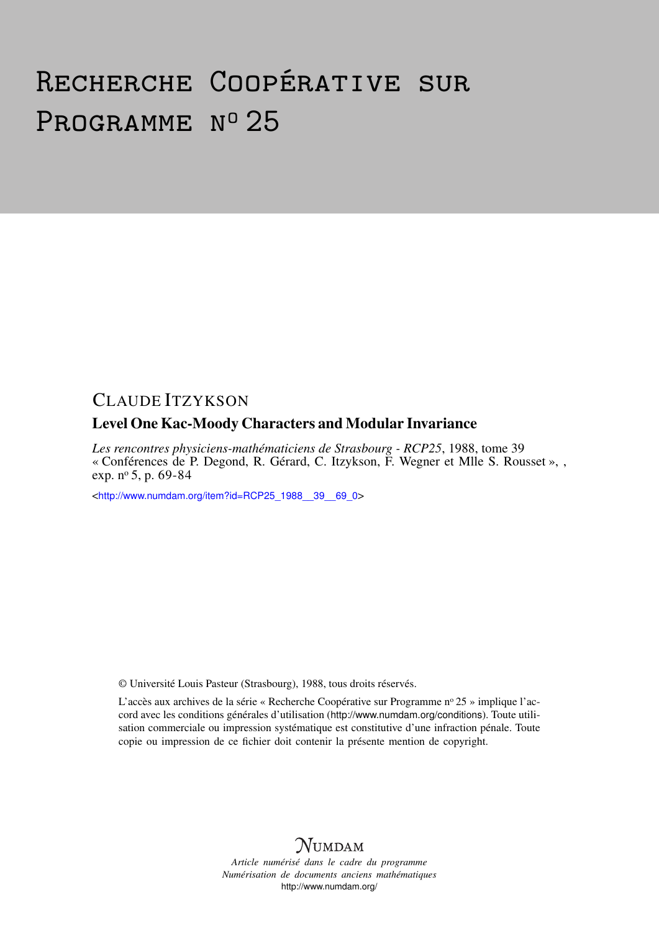## Recherche Coopérative sur PROGRAMME Nº 25

## CLAUDE ITZYKSON

## Level One Kac-Moody Characters and Modular Invariance

*Les rencontres physiciens-mathématiciens de Strasbourg - RCP25*, 1988, tome 39 « Conférences de P. Degond, R. Gérard, C. Itzykson, F. Wegner et Mlle S. Rousset », , exp. nº 5, p. 69-84

<[http://www.numdam.org/item?id=RCP25\\_1988\\_\\_39\\_\\_69\\_0](http://www.numdam.org/item?id=RCP25_1988__39__69_0)>

© Université Louis Pasteur (Strasbourg), 1988, tous droits réservés.

L'accès aux archives de la série « Recherche Coopérative sur Programme nº 25 » implique l'accord avec les conditions générales d'utilisation (<http://www.numdam.org/conditions>). Toute utilisation commerciale ou impression systématique est constitutive d'une infraction pénale. Toute copie ou impression de ce fichier doit contenir la présente mention de copyright.



*Article numérisé dans le cadre du programme Numérisation de documents anciens mathématiques* <http://www.numdam.org/>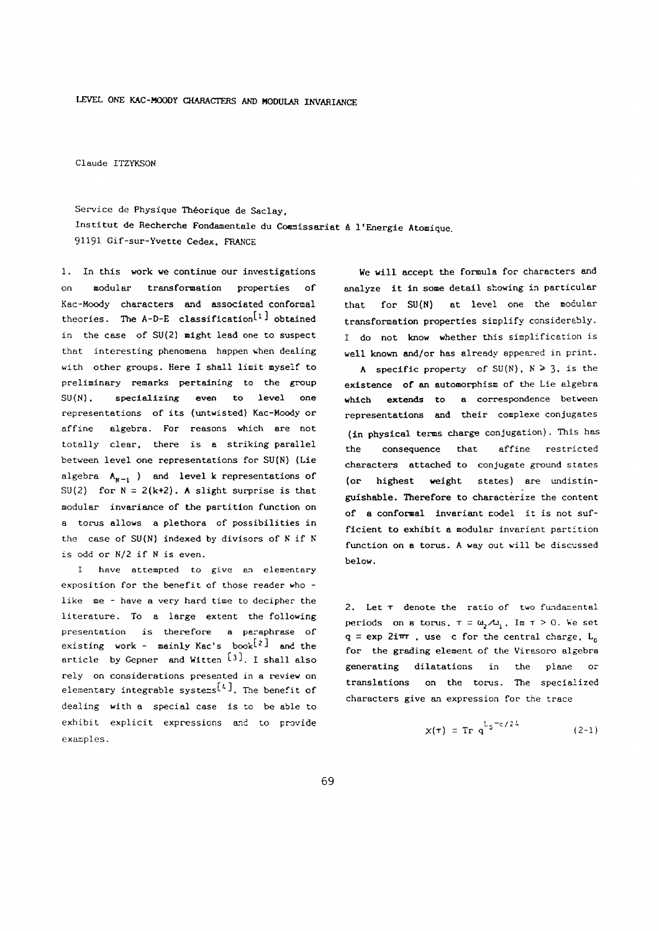**Claude ITZYKSON** 

**Service de Physique Théorique de Saclay. Institut de Recherche Fondamentale du Commissariat à l'Energie Atomique.**  91191 **Gif-sur-Yvette Cedex. FRANCE** 

1. **In this work we continue our investigations on modular transformation properties of Kac-Moody characters and associated conformai theories. The A-D-E classification^1 ^ obtained in the case of SU(2) might lead one to suspect that interesting phenomena happen when dealing with other groups. Here I shall limit myself to preliminary remarks pertaining to the group SU(N), specializing even to level one representations of its (untwisted) Kac-Moody or affine algebra. For reasons which are not totally clear, there is a striking parallel between level one representations for SU(N) (Lie**  algebra  $A_{N-1}$  ) and level k representations of SU(2) for  $N = 2(k+2)$ . A slight surprise is that **modular invariance of the partition function on a torus allows a plethora of possibilities in the case of SU(N) indexed by divisors of if Ν is odd or N/2 if is even.** 

**I have attempted to give an elementary exposition for the benefit of those reader who like me - have a very hard time to decipher the literature. To a large extent the following presentation is therefore a paraphrase of existing work - mainly Kac's** book<sup>[2]</sup> and the article by Gepner and Witten <sup>[3]</sup>. I shall also **rely on considerations presented in a review on**  elementary integrable systems<sup>[4]</sup>. The benefit of **dealing with a special case is to be able to exhibit explicit expressions and to provide examples.** 

**We will accept the formula for characters and analyze it in some detail showing in particular that for SU(N) at level one the modular transformation properties simplify considerably. I do not know whether this simplification is well known and/or has already appeared in print.** 

A specific property of  $SU(N)$ ,  $N \ge 3$ , is the **existence of an automorphism of the Lie algebra which extends to a correspondence between representations and their complexe conjugates (in physical terms charge conjugation). This has the consequence that affine restricted characters attached to conjugate ground states (or highest weight states) are undistinguishable. Therefore to characterize the content of a conformai invariant codel it is not sufficient to exhibit a modular invariant partition function on a torus. A way out will be discussed below.** 

**2. Let denote the ratio of two fundamental periods** on **a** torus,  $\tau = \omega_2 \mathcal{A} \omega_1$ ,  $\text{Im } \tau > 0$ . We set  $q = exp 2i\pi r$ , use c for the central charge,  $L_c$ **for the grading element of the Virasoro algebra generating dilatations in the plane or translations on the torus. The specialized characters give an expression for the trace** 

$$
\chi(\tau) = \text{Tr } q^{L_0 - c/2L}
$$
 (2-1)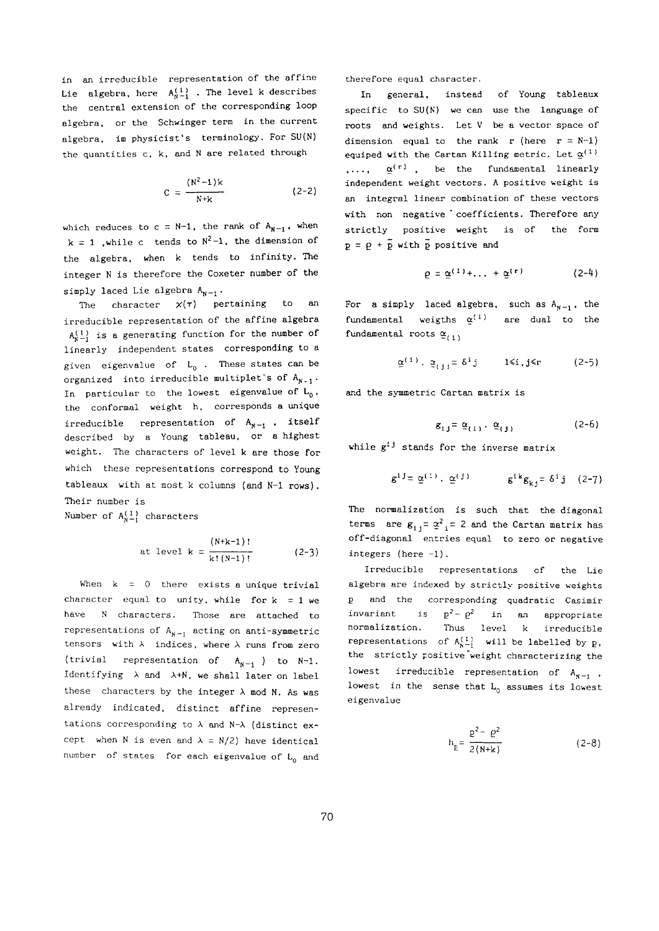**in an irreducible representation of the affine**  Lie algebra, here  $A_{N-1}^{(1)}$  . The level k describes **the central extension of the corresponding loop algebra, or the Schwinger term in the current algebra, im physicist's terminology. For SU(N) the quantities c, k, and are related through** 

$$
C = \frac{(N^2 - 1)k}{N+k}
$$
 (2-2)

which reduces to  $c = N-1$ , the rank of  $A_{N-1}$ , when  $k = 1$  , while c tends to  $N^2 - 1$ , the dimension of **the algebra, when k tends to infinity. The integer is therefore the Coxeter number of the**  simply laced Lie algebra  $A_{N-1}$ .

**The character χ(τ) pertaining to an irreducible representation of the affine algebra**   $A^{(1)}_{k-1}$  is a generating function for the number of **linearly independent states corresponding to a given eigenvalue of LQ . These states can be**  organized into irreducible multiplet's of  $A_{N-1}$ . In particular to the lowest eigenvalue of  $L_0$ , **the conformai weight h, corresponds a unique**  irreducible representation of  $A_{N-1}$ , itself **described by a Young tableau, or a highest weight. The characters of level k are those for which these representations correspond to Young tableaux with at most k columns (and N-l rows). Their number is** 

Number of  $A_{N-1}^{(1)}$  characters

at level 
$$
k = \frac{(N+k-1)!}{k!(N-1)!}
$$
 (2-3)

**When k =** 0 **there exists a unique trivial**  character equal to unity, while for  $k = 1$  we **have characters. Those are attached to**  representations of  $A_{N-1}$  acting on anti-symmetric tensors with  $\lambda$  indices, where  $\lambda$  runs from zero  $(\text{trivial representation of } A_{N-1})$  to  $N-1$ . **Identifying and λ+Ν, we shall later on label**  these characters by the integer  $\lambda$  mod N. As was **already indicated, distinct affine representations corresponding to and Ν- (distinct ex**cept when N is even and  $\lambda = N/2$ ) have identical **number of states for each eigenvalue of L() and** 

**therefore equal character.** 

**In general, instead of Young tableaux specific to SU(N) we can use the language of roots and weights. Let V be a vector space of**  dimension equal to the rank r (here  $r = N-1$ ) **equiped with the Cartan Killing metric. Let**  $\underline{\alpha}^{(1)}$ **,..., a**  $\alpha$ <sup>(r)</sup>, be the fundamental linearly **independent weight vectors. A positive weight is an integral linear combination of these vectors with non negative \* coefficients. Therefore any strictly positive weight is of the form**   $p = \rho + \tilde{p}$  with  $\tilde{p}$  positive and

$$
\varrho = \underline{\alpha}^{(1)} + \ldots + \underline{\alpha}^{(r)} \qquad (2-4)
$$

For a simply laced algebra, such as  $A_{N-1}$ , the fundamental weigths  $\alpha^{(1)}$  are dual to the **fundamental** roots  $\underline{\alpha}_{(1)}$ 

$$
\underline{\alpha}^{(1)} \cdot \underline{\alpha}_{(1)} = \delta^{i} \mathbf{j} \qquad 1 \leq \mathbf{i} \mathbf{j} \leq \mathbf{r} \qquad (2-5)
$$

**and the symmetric Cartan matrix is** 

$$
\mathbf{g}_{1,j} = \underline{\alpha}_{(1)} \cdot \underline{\alpha}_{(j)}
$$
 (2-6)

while  $g^{\{j\}}$  stands for the inverse matrix

$$
g^{1,j} = \underline{\alpha}^{(1)}, \underline{\alpha}^{(j)}
$$
  $g^{1,k}g_{k,j} = \delta^{1,j}$  (2-7)

**The normalization is such that the diagonal terms** are  $g_{1,i} = \alpha^2$ ,  $= 2$  and the Cartan matrix has **off-diagonal entries equal to zero or negative integers (here** -1).

**Irreducible representations of the Lie algebra are indexed by strictly positive weights and the corresponding quadratic Casimir invariant** is  $p^2 - \rho^2$  in an appropriate **normalization. Thus level k irreducible representations** of  $A^{(1)}_{N-1}$  will be labelled by p. **the strictly positive "weight characterizing the**  lowest irreducible representation of  $A_{N-1}$ , **lowest in the sense that LQ assumes its lowest eigenvalue** 

$$
h_{E} = \frac{p^2 - \rho^2}{2(N+k)}
$$
 (2-8)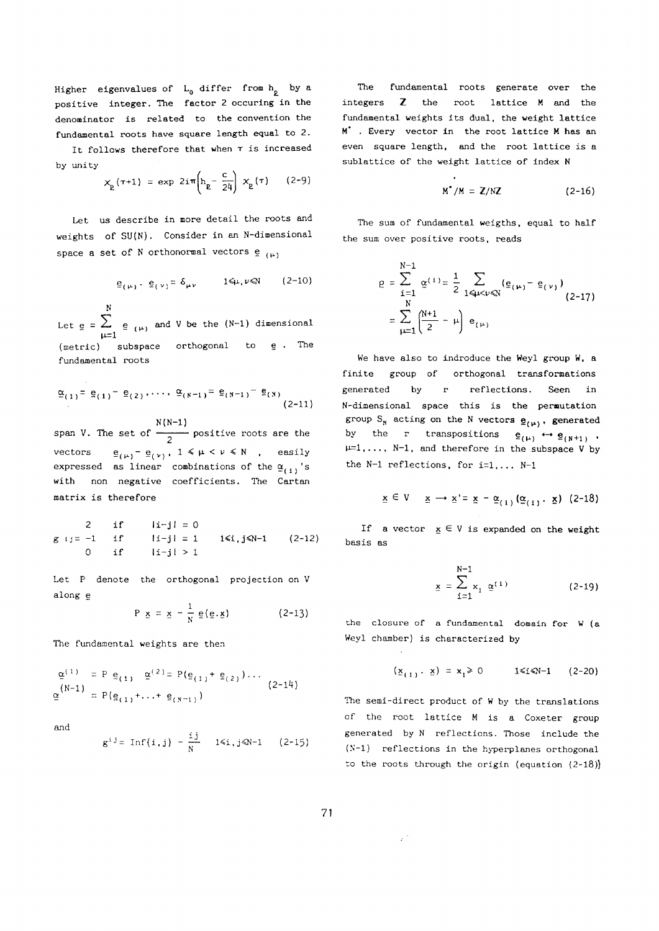**Higher eigenvalues of LQ differ from h £ by a positive integer. The factor** 2 **occuring in the denominator is related to the convention the fundamental roots have square length equal to** 2.

**It follows therefore that when is increased by unity** 

$$
x_{\rm p}(\tau+1) = \exp 2i\pi \left( h_{\rm p} - \frac{c}{24} \right) x_{\rm p}(\tau) \qquad (2-9)
$$

**Let us describe in more detail the roots and weights of SU(N). Consider in an N-dimensional**  space a set of N orthonormal vectors  $e_{(\mu)}$ 

$$
\underline{\mathbf{e}}_{(\mu)} \cdot \underline{\mathbf{e}}_{(\nu)} = \delta_{\mu\nu} \qquad 1 \leq \mu, \nu \leq N \qquad (2-10)
$$

**Let e Ν = Σ μ=ι e ( μ ) and V be the (N-l) dimensional (metric) subspace orthogonal to e . The fundamental roots** 

$$
\underline{\alpha}_{(1)} = \underline{e}_{(1)} - \underline{e}_{(2)}, \dots, \ \underline{\alpha}_{(N-1)} = \underline{e}_{(N-1)} - \underline{e}_{(N)}
$$
\n(2-11)

**span V. The set of N(N-l)**  <sup>2</sup>**positive roots are the vectors**  $\underline{e}_{(\mu)} - \underline{e}_{(\nu)}$ ,  $1 \leq \mu < \nu \leq N$ , easily expressed as linear combinations of the  $\underline{\alpha}_{(1)}$  's **with non negative coefficients. The Cartan matrix is therefore** 

2 if 
$$
|i-j| = 0
$$
  
g  $i j = -1$  if  $|i-j| = 1$  1 $\leq i, j \leq N-1$  (2-12)  
0 if  $|i-j| > 1$ 

**Let denote the orthogonal projection on V along e** 

$$
P \underline{x} = \underline{x} - \frac{1}{N} \underline{e}(\underline{e}.\underline{x}) \qquad (2-13)
$$

**The fundamental weights are then** 

$$
\underline{\alpha}^{(1)} = P \underline{e}_{(1)} \underline{\alpha}^{(2)} = P(\underline{e}_{(1)} + \underline{e}_{(2)}) \cdots
$$
\n
$$
\underline{\alpha}^{(N-1)} = P(\underline{e}_{(1)} + \cdots + \underline{e}_{(N-1)})
$$
\n(2-14)

and

$$
g^{i j} = \text{Inf}\{i, j\} - \frac{i j}{N}
$$
 1\le i, j\le N-1 (2-15)

**The fundamental roots generate over the integers the root lattice M and the fundamental weights its dual, the weight lattice M\* . Every vector in the root lattice M has an even square length, and the root lattice is a sublattice of the weight lattice of index Ν** 

$$
M^*/M = Z/NZ \qquad (2-16)
$$

**The sum of fundamental weigths, equal to half the sum over positive roots, reads** 

$$
\varrho = \sum_{i=1}^{N-1} \underline{\alpha}^{(1)} = \frac{1}{2} \sum_{1 \leq \mu < \nu \leq N} (\underline{\mathbf{e}}_{(\mu)} - \underline{\mathbf{e}}_{(\nu)})
$$
\n
$$
= \sum_{\mu=1}^{N} \left( \frac{N+1}{2} - \mu \right) \underline{\mathbf{e}}_{(\mu)}
$$
\n(2-17)

**We have also to indroduce the Weyl group W, a finite group of orthogonal transformations generated by r reflections. Seen in N-dimensional space this is the permutation group**  $S_N$  acting on the N vectors  $g_{(\mu)}$ , **generated** by the r transpositions  $\mathbf{e}_{(\mu)} \leftrightarrow \mathbf{e}_{(\mu+1)}$ **μ**=1**,..., N-l, and therefore in the subspace V by the N-l reflections, for i=l<sup>t</sup> ... N-l** 

$$
\underline{x} \in V \quad \underline{x} \longrightarrow \underline{x}' = \underline{x} - \underline{\alpha}_{(1)} (\underline{\alpha}_{(1)}, \underline{x}) \quad (2-18)
$$

If a vector  $x \in V$  is expanded on the weight **basis as** 

$$
\underline{x} = \sum_{i=1}^{N-1} x_i \ \underline{\alpha}^{(1)} \tag{2-19}
$$

**the closure of a fundamental domain for W (a Weyl chamber) is characterized by** 

$$
(\underline{x}_{(1)}, \underline{x}) = x_1 \ge 0
$$
 1\le i\le N-1 (2-20)

**The semi-direct product of W by the translations of the root lattice M is a Coxeter group generated by reflections. Those include the (N-l) reflections in the hyperplanes orthogonal to the roots through the origin (equation** (2-18))

 $\frac{1}{2}$   $\sim$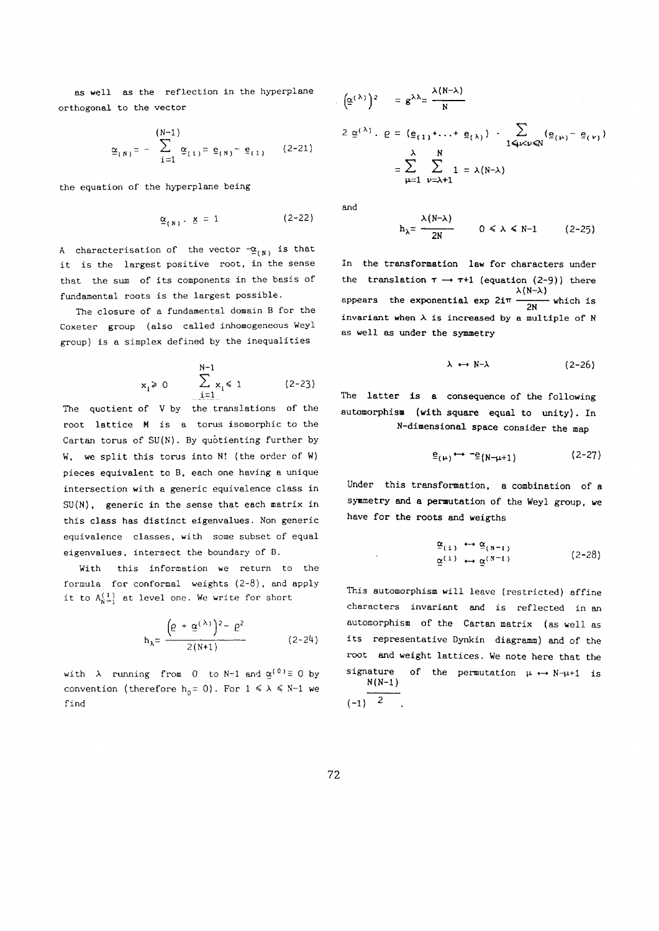**as well as the reflection in the hyperplane orthogonal to the vector** 

$$
\underline{\alpha}_{(N)} = -\sum_{i=1}^{(N-1)} \underline{\alpha}_{(1)} = \underline{\mathbf{e}}_{(N)} - \underline{\mathbf{e}}_{(1)} \qquad (2-21)
$$

**the equation of the hyperplane being** 

$$
\underline{\alpha}_{(N)} \cdot \underline{x} = 1 \qquad (2-22)
$$

A characterisation of the vector  $-\underline{\alpha}_{(N)}$  is that **it is the largest positive root, in the sense that the sum of its components in the basis of fundamental roots is the largest possible.** 

The closure of a fundamental domain **B** for the **Coxeter group (also called inhomogeneous Weyl group) is a simplex defined by the inequalities** 

$$
x_i \ge 0
$$
  $\sum_{i=1}^{N-1} x_i \le 1$  (2-23)

**The quotient of V by the translations of the root lattice M is a torus isomorphic to the Cartan torus of SU(N). By quôtienting further by W, we split this torus into NÎ (the order of W) pieces equivalent to B, each one having a unique intersection with a generic equivalence class in SU(N), generic in the sense that each matrix in this class has distinct eigenvalues. Non generic equivalence classes, with some subset of equal eigenvalues, intersect the boundary of B.** 

**With this information we return to the formula for conformai weights (2-8), and apply**  it to  $A^{(1)}_{N-1}$  at level one. We write for short

$$
h_{\lambda} = \frac{\left(\rho + g^{(\lambda)}\right)^2 - \rho^2}{2(N+1)}
$$
 (2-24)

with  $\lambda$  running from 0 to N-1 and  $\underline{\alpha}^{(0)} \equiv 0$  by **convention** (therefore  $h_0 = 0$ ). For  $1 \le \lambda \le N-1$  we **find** 

$$
(\underline{\alpha}^{(\lambda)})^2 = g^{\lambda \lambda} = \frac{\lambda(N-\lambda)}{N}
$$
  

$$
2 \underline{\alpha}^{(\lambda)} \cdot \underline{\rho} = (\underline{\epsilon}_{(1)} + \dots + \underline{\epsilon}_{(\lambda)}) \cdot \sum_{1 \leq \mu < \nu \leq N} (\underline{\epsilon}_{(\mu)} - \underline{\epsilon}_{(\nu)})
$$
  

$$
= \sum_{\mu=1}^{\lambda} \sum_{\nu=\lambda+1}^{N} 1 = \lambda(N-\lambda)
$$

**and** 

$$
h_{\lambda} = \frac{\lambda (N - \lambda)}{2N} \qquad 0 \le \lambda \le N - 1 \qquad (2 - 25)
$$

**In the transformation law for characters under**  the **translation**  $\tau \rightarrow \tau+1$  (equation (2-9)) there **λ(Ν-λ) appears the exponential exp** 2iir **— ~ — which is invariant when is increased by a multiple of Ν as well as under the symmetry** 

$$
\lambda \leftrightarrow N-\lambda \qquad (2-26)
$$

**The latter is a consequence of the following automorphism (with square equal to unity). In N-dimensional space consider the map** 

$$
\underline{e}_{(\mu)} \leftrightarrow \neg \underline{e}_{(N-\mu+1)} \tag{2-27}
$$

**Under this transformation, a combination of a symmetry and a permutation of the Weyl group, we have for the roots and weigths** 

$$
\underline{\alpha}_{(1)} \leftrightarrow \underline{\alpha}_{(N-1)} \tag{2-28}
$$
\n
$$
\underline{\alpha}^{(1)} \leftrightarrow \underline{\alpha}^{(N-1)}
$$

**This automorphism will leave (restricted) affine characters invariant and is reflected in an automorphism of the Cartan matrix (as well as its representative Dynkin diagramm) and of the root and weight lattices. We note here that the signature of the permutation μ Ν-μ+l is** 

$$
\frac{N(N-1)}{2}
$$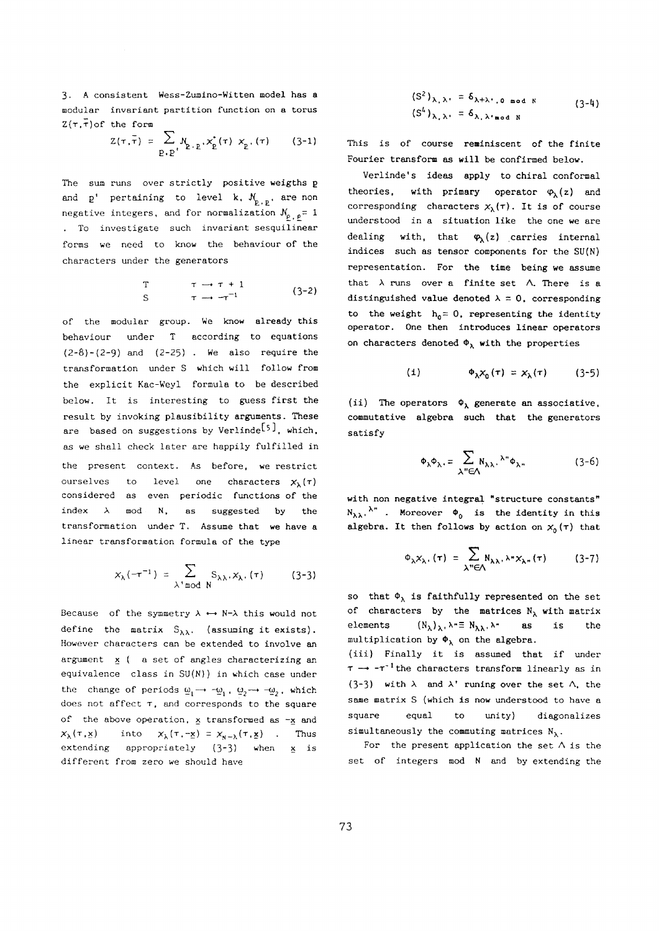3· **A consistent Wess-Zumino-Witten model has a modular invariant partition function on a torus Z(T.r)of the form** 

$$
Z(\tau, \bar{\tau}) = \sum_{P \in P'} N_{P \cdot P} \cdot x_{P}^{*}(\tau) \cdot x_{P}(\tau) \qquad (3-1)
$$

**The sum runs over strictly positive weigths ρ**  and  $p'$  pertaining to level k,  $N_{p,p}$ , are non **negative integers, and for normalization**  $N_{\rho}$   $_{\rho} = 1$ **To investigate such invariant sesquilinear forms we need to know the behaviour of the characters under the generators** 

$$
\begin{array}{ccc}\nT & \tau \to \tau + 1 \\
S & \tau \to \tau^{-1}\n\end{array} \n\qquad (3-2)
$$

**of the modular group. We know already this behaviour under according to equations**  (2-8)-(2-9) **and** (2-25) **· We also require the transformation under S which will follow from the explicit Kac-Weyl formula to be described below. It is interesting to guess first the result by invoking plausibility arguments. These are based on suggestions by Veriindet-5^ , which, as we shall check later are happily fulfilled in the present context. As before, we restrict**  ourselves to level one characters  $\chi_1(\tau)$ **considered as even periodic functions of the**  index  $\lambda$  mod N, as suggested by the **transformation under T. Assume that we have a linear transformation formula of the type** 

$$
x_{\lambda}(-\tau^{-1}) = \sum_{\lambda \text{ mod } N} S_{\lambda\lambda}, x_{\lambda}(\tau) \qquad (3-3)
$$

Because of the symmetry  $\lambda \leftrightarrow N-\lambda$  this would not define the matrix  $S_{\lambda\lambda}$ , (assuming it exists). **However characters can be extended to involve an argument ( a set of angles characterizing an equivalence class in SU(N)) in which case under**   $\mathbf{t}$  the change of periods  $\mathbf{u}_1 \rightarrow -\mathbf{u}_1$ ,  $\mathbf{u}_2 \rightarrow -\mathbf{u}_2$ , which **does not affect , and corresponds to the square of the above operation, transformed as -x and**   $(\mathbf{x}_{\lambda}(\tau, \mathbf{x}))$  into  $(\mathbf{x}_{\lambda}(\tau, -\mathbf{x})) = \mathbf{x}_{\mathbf{x} - \lambda}(\tau, \mathbf{x})$  . Thus **extending appropriately** (3~3) **when is different from zero we should have** 

$$
(S2)\lambda, \lambda = \delta\lambda+\lambda, o mod N
$$
 (3-4)  

$$
(SL)\lambda, \lambda = \delta\lambda, \lambda mod N
$$

**This is of course reminiscent of the finite Fourier transform as will be confirmed below.** 

**Verlinde's ideas apply to chiral conformai theories,** with primary operator  $\varphi_{\lambda}(z)$  and corresponding characters  $x_{\lambda}(\tau)$ . It is of course **understood in a situation like the one we are dealing with, that Φχ(ζ) carries internal indices such as tensor components for the SU(N) representation. For the time being we assume**  that  $\lambda$  runs over a finite set  $\Lambda$ . There is a distinguished value denoted  $\lambda = 0$ , corresponding to the weight  $h_0 = 0$ , representing the identity **operator. One then introduces linear operators**  on characters denoted  $\Phi_{\lambda}$  with the properties

$$
(1) \qquad \qquad \Phi_{\lambda} X_0(\tau) = X_{\lambda}(\tau) \qquad (3-5)
$$

(ii) The operators  $\phi_{\lambda}$  generate an associative, **commutative algebra such that the generators satisfy** 

$$
\Phi_{\lambda}\Phi_{\lambda} = \sum_{\lambda^{\prime\prime} \in \Lambda} N_{\lambda\lambda} \cdot {}^{\lambda^{\prime\prime}} \Phi_{\lambda^{\prime\prime}} \tag{3-6}
$$

**with non negative integral "structure constants'<sup>1</sup>**  $N_{\lambda\lambda}$ ,  $\lambda$ <sup>n</sup> **.** Moreover  $\phi$  is the identity in this **algebra.** It then follows by action on  $\chi_0(\tau)$  that

$$
\Phi_{\lambda} X_{\lambda}. (\tau) = \sum_{\lambda'' \in \Lambda} N_{\lambda \lambda}. \lambda'' X_{\lambda''} (\tau) \qquad (3-7)
$$

so that  $\Phi_{\lambda}$  is faithfully represented on the set of characters by the matrices  $N_{\lambda}$  with matrix **elements**  $(N_{\lambda})_{\lambda}$ ,  $\lambda = N_{\lambda}$ ,  $\lambda -$  **as** is the multiplication by  $\Phi_{\lambda}$  on the algebra.

**(iii) Finally it is assumed that if under —• -τ"1the characters transform linearly as in**  (3-3) with  $\lambda$  and  $\lambda'$  **runing** over the set  $\Lambda$ , the **same matrix S (which is now understood to have a square equal to unity) diagonalizes**  simultaneously the commuting matrices  $N_{\lambda}$ .

For the present application the set  $\wedge$  is the **set of integers mod and by extending the**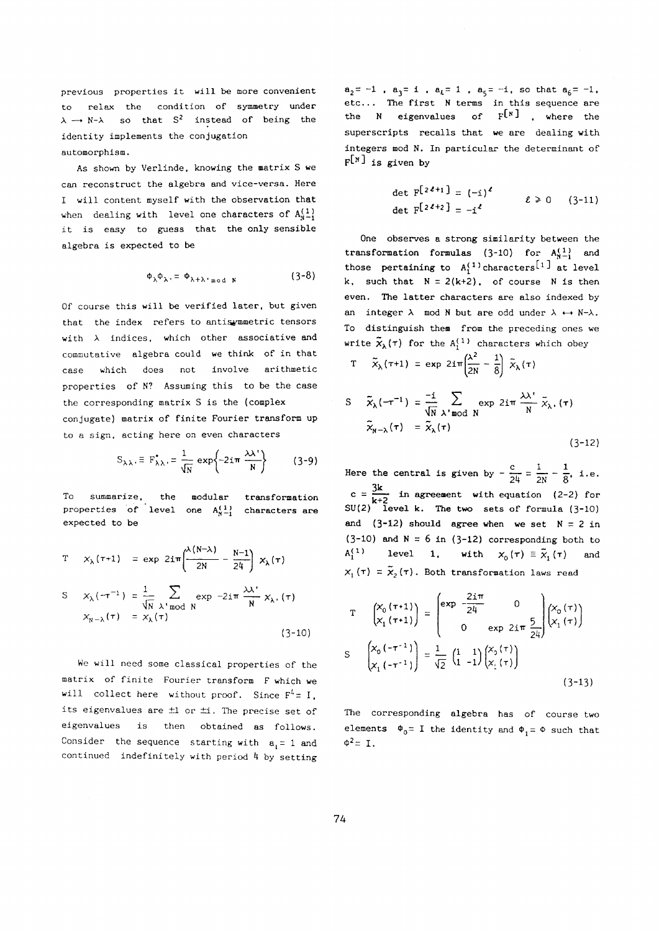**previous properties it will be more convenient to relax the condition of symmetry under**   $\lambda \rightarrow N-\lambda$  so that S<sup>2</sup> instead of being the **identity implements the conjugation automorphism.** 

**As shown by Verlinde, knowing the matrix S we can reconstruct the algebra and vice-versa. Here I will content myself with the observation that**  when dealing with level one characters of  $A^{(1)}_{n-1}$ **it is easy to guess that the only sensible algebra is expected to be** 

$$
\Phi_{\lambda}\Phi_{\lambda} = \Phi_{\lambda + \lambda \text{ mod } N} \tag{3-8}
$$

**Of course this will be verified later, but given that the index refers to antis^mmetrie tensors with indices, which other associative and commutative algebra could we think of in that case which does not involve arithmetic properties of N? Assuming this to be the case the corresponding matrix S is the (complex conjugate) matrix of finite Fourier transform up to a sign, acting here on even characters** 

$$
S_{\lambda\lambda} \equiv F_{\lambda\lambda}^* = \frac{1}{\sqrt{N}} \exp\left\{-2i\pi \frac{\lambda\lambda^*}{N}\right\} \qquad (3-9)
$$

**To summarize, the modular transformation**  properties of level one  $A^{(1)}_{N-1}$  characters are **expected to be** 

$$
T \quad x_{\lambda}(\tau+1) = \exp 2i\pi \left(\frac{\lambda(N-\lambda)}{2N} - \frac{N-1}{24}\right) x_{\lambda}(\tau)
$$
  

$$
S \quad x_{\lambda}(-\tau^{-1}) = \frac{1}{\sqrt{N}} \sum_{\lambda' \bmod N} \exp -2i\pi \frac{\lambda \lambda'}{N} x_{\lambda'}(\tau)
$$
  

$$
x_{N-\lambda}(\tau) = x_{\lambda}(\tau)
$$
 (3-10)

**We will need some classical properties of the matrix of finite Fourier transform F which we will** collect here without proof. Since  $F^4 = I$ , **its eigenvalues are ±1 or ±i. The precise set of eigenvalues is then obtained as follows.**  Consider the sequence starting with  $a_i = 1$  and continued indefinitely with period 4 by setting

 $a_2 = -1$ ,  $a_3 = 1$ ,  $a_4 = 1$ ,  $a_5 = -i$ , so that  $a_6 = -1$ , **etc... The first terms in this sequence are**  the **N** eigenvalues of  $F^{N}$  , where the **superscripts recalls that we are dealing with integers mod N, In particular the determinant of F**C<sup>n</sup> 3 **is given by** 

$$
\det F^{[2\ell+1]} = (-i)^{\ell} \qquad \ell \ge 0 \qquad (3-11)
$$
  
det F<sup>[2\ell+2]</sup> = -i<sup>\ell</sup>

**One observes a strong similarity between the transformation formulas**  $(3-10)$  for  $A^{(1)}_{N-1}$  and those pertaining to  $A_1^{(1)}$  characters<sup>[1]</sup> at level  $k$ , such that  $N = 2(k+2)$ , of course N is then **even. The latter characters are also indexed by an** integer  $\lambda$  mod N but are odd under  $\lambda \leftrightarrow N-\lambda$ . **To distinguish them from the preceding ones we write**  $\widetilde{\mathbf{x}}_{\lambda}(\tau)$  for the  $A_i^{(1)}$  characters which obey

$$
T \quad \tilde{x}_{\lambda}(\tau+1) = \exp 2i\pi \left(\frac{\lambda^2}{2N} - \frac{1}{8}\right) \tilde{x}_{\lambda}(\tau)
$$

$$
S = \tilde{x}_{\lambda}(-\tau^{-1}) = \frac{-i}{\sqrt{N}} \sum_{\lambda' \mod N} \exp 2i\pi \frac{\lambda \lambda'}{N} \tilde{x}_{\lambda}(\tau)
$$

$$
\tilde{x}_{N-\lambda}(\tau) = \tilde{x}_{\lambda}(\tau)
$$
(3-12)

**l** Here the central is given by  $-\frac{c}{24} = \frac{1}{2N} - \frac{1}{8}$ , i.e. 3k **c = in agreement with equation** (2-2) **for**  and  $(3-12)$  should agree when we set  $N = 2$  in  $(3-10)$  and  $N = 6$  in  $(3-12)$  corresponding both to  $A_1^{(1)}$  **level 1, with**  $\chi_0(\tau) \equiv \tilde{\chi}_1(\tau)$  **and A}<sup>1</sup> ) level** 1, **with X0 (τ) Ξ** *χ* **(τ) and**  *(τ)* **= <sup>2</sup> (τ). Both transformation laws read** 

$$
T \begin{pmatrix} x_0 (\tau + 1) \\ x_1 (\tau + 1) \end{pmatrix} = \begin{pmatrix} \exp \frac{-2i\pi}{24} & 0 \\ 0 & \exp 2i\pi \frac{5}{24} \end{pmatrix} \begin{pmatrix} x_0 (\tau) \\ x_1 (\tau) \end{pmatrix}
$$
  
\n
$$
S \begin{pmatrix} x_0 (\tau + 1) \\ x_1 (\tau + 1) \end{pmatrix} = \frac{1}{\sqrt{2}} \begin{pmatrix} 1 & 1 \\ 1 & -1 \end{pmatrix} \begin{pmatrix} x_0 (\tau) \\ x_1 (\tau) \end{pmatrix}
$$
  
\n
$$
(3-13)
$$

**The corresponding algebra has of course two elements**  $\Phi_0 = I$  the identity and  $\Phi_1 = \Phi$  such that  $\Phi^2 = I$ .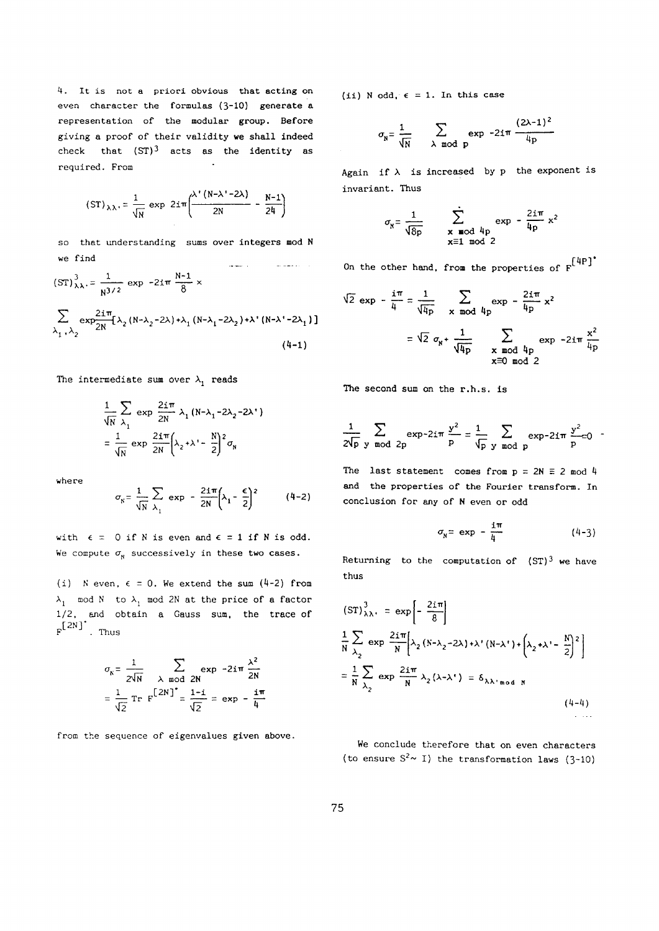**A. It is not a priori obvious that acting on even character the formulas** (3**~10) generate a representation of the modular group. Before giving a proof of their validity we shall indeed check that (ST) 3 acts as the identity as required. From**   $\sim 10$ 

$$
\left(\text{ST}\right)_{\lambda\lambda} = \frac{1}{\sqrt{\lambda}} \exp 2\text{i}\pi \left(\frac{\lambda' \left(N-\lambda'-2\lambda\right)}{2N} - \frac{N-1}{24}\right)
$$

**so that understanding sums over integers mod Ν we find**  أأرد المعقدية  $\frac{1}{2}$  and  $\frac{1}{2}$  and  $\frac{1}{2}$ 

$$
(ST)^{3}_{\lambda\lambda} = \frac{1}{N^{3/2}} \exp -2i\pi \frac{N-1}{8} \times
$$
  

$$
\sum_{\lambda_1, \lambda_2} \exp \frac{2i\pi}{2N} [\lambda_2 (N-\lambda_2-2\lambda) + \lambda_1 (N-\lambda_1-2\lambda_2) + \lambda^* (N-\lambda^* - 2\lambda_1)]
$$
  
(4-1)

The intermediate sum over  $\lambda_1$  reads

$$
\frac{1}{\sqrt{N}} \sum_{\lambda_1} \exp \frac{2i\pi}{2N} \lambda_1 (N-\lambda_1 - 2\lambda_2 - 2\lambda^*)
$$

$$
= \frac{1}{\sqrt{N}} \exp \frac{2i\pi}{2N} \left(\lambda_2 + \lambda^* - \frac{N}{2}\right)^2 \sigma_N
$$

**where** 

$$
\sigma_{\rm g} = \frac{1}{\sqrt{\rm N}} \sum_{\lambda_1} \exp -\frac{2i\pi}{2\rm N} \left(\lambda_1 - \frac{\epsilon}{2}\right)^2 \qquad (4-2)
$$

with  $\epsilon = 0$  if N is even and  $\epsilon = 1$  if N is odd. We compute  $\sigma_{\textbf{n}}$  successively in these two cases.

(i)  $N$  even,  $\epsilon = 0$ . We extend the sum  $(4-2)$  from  $\lambda_1$  mod N to  $\lambda_1$  mod 2N at the price of a factor **1/2, and obtain a Gauss sum, the trace of**   $F^{[2N]}$  . Thus

$$
\sigma_{\mathbf{N}} = \frac{1}{2\sqrt{\mathbf{N}}} \sum_{\lambda \mod 2\mathbf{N}} \exp(-2\mathbf{i}\pi) \frac{\lambda^2}{2\mathbf{N}}
$$

$$
= \frac{1}{\sqrt{2}} \operatorname{Tr} \mathbf{F} \left[ \frac{2\mathbf{N}}{\mathbf{N}} \right] = \frac{1-\mathbf{i}}{\sqrt{2}} = \exp(-\frac{\mathbf{i}\pi}{4})
$$

**from the sequence of eigenvalues given above.** 

**(ii) odd, € =1 . In this case** 

$$
\sigma_{\rm N} = \frac{1}{\sqrt{\rm N}} \sum_{\substack{\lambda \text{ mod } p}} \exp\left(-2i\pi\right) \frac{(2\lambda - 1)^2}{4p}
$$

Again if  $\lambda$  is increased by  $p$  the exponent is **invariant. Thus** 

$$
V_{\rm N} = \frac{1}{\sqrt{8p}} \qquad \sum_{\substack{\mathbf{x} \equiv \mathbf{od} \text{ and } \text{4p} \\ \mathbf{x} \equiv 1 \mod 2}} \exp{-\frac{2i\pi}{4p}} \mathbf{x}^2
$$

Γ4ΡΓ **On the other hand, from the properties of F** 

$$
\sqrt{2} \exp - \frac{i\pi}{4} = \frac{1}{\sqrt{4p}} \sum_{\mathbf{x} \mod 4p} \exp - \frac{2i\pi}{4p} \mathbf{x}^2
$$

$$
= \sqrt{2} \sigma_{\mathbf{x}} + \frac{1}{\sqrt{4p}} \sum_{\substack{\mathbf{x} \mod 4p \\ \mathbf{x} \equiv 0 \mod 2}} \exp -2i\pi \frac{\mathbf{x}^2}{4p}
$$

**The second sum on the r.h.s. is** 

$$
\frac{1}{2\sqrt{p}}\sum_{y \mod 2p} \exp{-2i\pi} \frac{y^2}{p} = \frac{1}{\sqrt{p}}\sum_{y \mod p} \exp{-2i\pi} \frac{y^2}{p} = 0
$$

The last statement comes from  $p = 2N \equiv 2 \mod 4$ **and the properties of the Fourier transform. In**  conclusion for any of N even or odd

$$
\sigma_{N} = \exp - \frac{i\pi}{4} \qquad (4-3)
$$

**Returning to the computation of (ST)3 we have thus** 

$$
(ST)^{3}_{\lambda\lambda} = \exp\left[-\frac{2i\pi}{8}\right]
$$
  

$$
\frac{1}{N}\sum_{\lambda_{2}} \exp\frac{2i\pi}{N} \Big[\lambda_{2} (N-\lambda_{2}-2\lambda) + \lambda' (N-\lambda') + \Big(\lambda_{2} + \lambda' - \frac{N}{2}\Big)^{2}\Big]
$$
  

$$
= \frac{1}{N}\sum_{\lambda_{2}} \exp\frac{2i\pi}{N} \lambda_{2} (\lambda-\lambda') = \delta_{\lambda\lambda' \mod N}
$$
  

$$
(4-4)
$$

**We conclude therefore that on even characters**  (to ensure  $S^2 \sim I$ ) the transformation laws (3-10)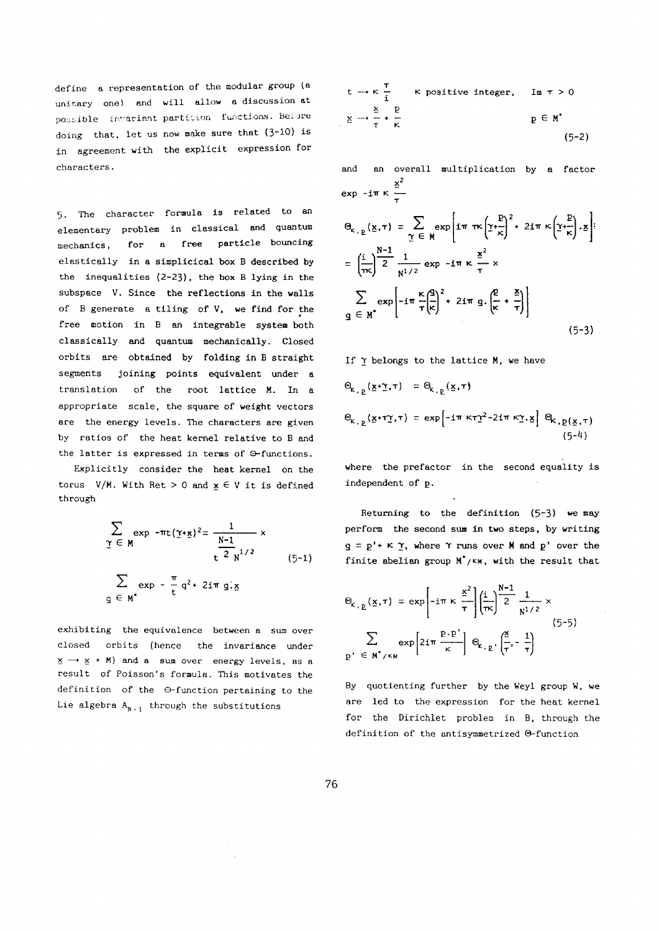**define a representation of the modular group (a unitary one) and will allow a discussion at possible** invariant **partition** functions. **Be**lore **doing that, let us now** make **sure that** (3~10) **is in agreement with the explicit expression for characters.** 

**5. The character formula is related to an elementary problem in classical and quantum mechanics, for a free particle bouncing elastically in a simplicical box described by**  the inequalities  $(2-23)$ , the box **B** lying in the **subspace V. Since the reflections in the walls of generate a tiling of V, we find for the free motion in an integrable system both classically and quantum mechanically. Closed orbits are obtained by folding in straight segments joining points equivalent under a translation of the root lattice M. In a appropriate scale, the square of weight vectors are the energy levels. The characters are given**  by ratios of the heat kernel relative to **B** and **the latter is expressed in terms of 3-functions.** 

**Explicitly consider the heat kernel on the**  torus  $V/M$ . With Ret  $> 0$  and  $x \in V$  it is defined **through** 

$$
\sum_{\Upsilon \in M} \exp \left(-\pi t (\Upsilon + \underline{x})^2\right) = \frac{1}{\frac{N-1}{t^2} \frac{N}{N^{1/2}}} \times
$$
\n
$$
\sum_{\square \in M^*} \exp \left(-\frac{\pi}{t} q^2 + 2i \pi g \cdot \underline{x}\right) \tag{5-1}
$$

**exhibiting the equivalence between a sum over closed orbits (hence the invariance under —• • M) and a sum over energy levels, as a result of Poisson's formula. This motivates the definition of the 0-function pertaining to the**  Lie algebra  $A_{N-1}$  through the substitutions

$$
t \rightarrow \kappa \frac{\tau}{i} \qquad \kappa \text{ positive integer,} \qquad \text{Im } \tau > 0
$$
  

$$
\underline{x} \rightarrow \frac{\underline{x}}{\tau} + \frac{p}{\kappa} \qquad \qquad \underline{p} \in M^* \qquad (5-2)
$$

**and an overall multiplication by a factor exp** -**iπ κ**  $\frac{x}{\tau}$ 

$$
\Theta_{\kappa, p}(\underline{x}, \tau) = \sum_{\underline{\gamma} \in M} \exp\left[ i \pi \pi \kappa \left( \underline{\gamma} + \frac{p}{\kappa} \right)^2 + 2 i \pi \kappa \left( \underline{\gamma} + \frac{p}{\kappa} \right) \cdot \underline{x} \right]
$$

$$
= \left( \frac{i}{\pi \kappa} \right) \frac{N-1}{2} \frac{1}{N^{1/2}} \exp\left[ -i \pi \frac{\kappa}{\tau} \left( \frac{q}{\kappa} \right)^2 + 2 i \pi \cdot \underline{q} \cdot \left( \frac{p}{\kappa} + \frac{z}{\tau} \right) \right]
$$

$$
\sum_{\underline{q} \in M^*} \exp\left[ -i \pi \frac{\kappa}{\tau} \left( \frac{q}{\kappa} \right)^2 + 2 i \pi \cdot \underline{q} \cdot \left( \frac{p}{\kappa} + \frac{z}{\tau} \right) \right]
$$
(5-3)

If 
$$
\gamma
$$
 belongs to the lattice M, we have

$$
\Theta_{k, p}(\underline{x} + \underline{\gamma}, \tau) = \Theta_{k, p}(\underline{x}, \tau)
$$
\n
$$
\Theta_{k, p}(\underline{x} + \tau \underline{\gamma}, \tau) = \exp\left[-i\pi \kappa \tau \underline{\gamma}^2 - 2i\pi \kappa \underline{\gamma}, \underline{x}\right] \Theta_{k, p}(\underline{x}, \tau)
$$
\n
$$
(5^{-4})
$$

**where the prefactor in the second equality is**  independent of p.

Returning to the definition (5-3) we may **perform the second sum in two steps, by writing**   $q = p' + K \Upsilon$ , where  $\Upsilon$  runs over M and  $p'$  over the **finite abelian group** Μ\*/**ΚΜ, with the result that** 

$$
\Theta_{K, p}(\underline{x}, \tau) = \exp\left[-i\pi \kappa \frac{\underline{x}^2}{\tau}\right] \left(\frac{i}{\pi \kappa}\right)^{N-1} \frac{1}{2} \frac{1}{N^{1/2}} \times
$$
\n
$$
\sum_{p' \in M^{\bullet}/\kappa_M} \exp\left[2i\pi \frac{P \cdot P'}{\kappa}\right] \Theta_{K, p'} \left(\frac{\underline{x}}{\tau}, -\frac{1}{\tau}\right)
$$
\n(5-5)

**By quotienting further by the Weyl group W, we are led to the expression for the heat kernel for the Dirichlet problem in B, through the**  definition of the antisymmetrized  $\Theta$ -function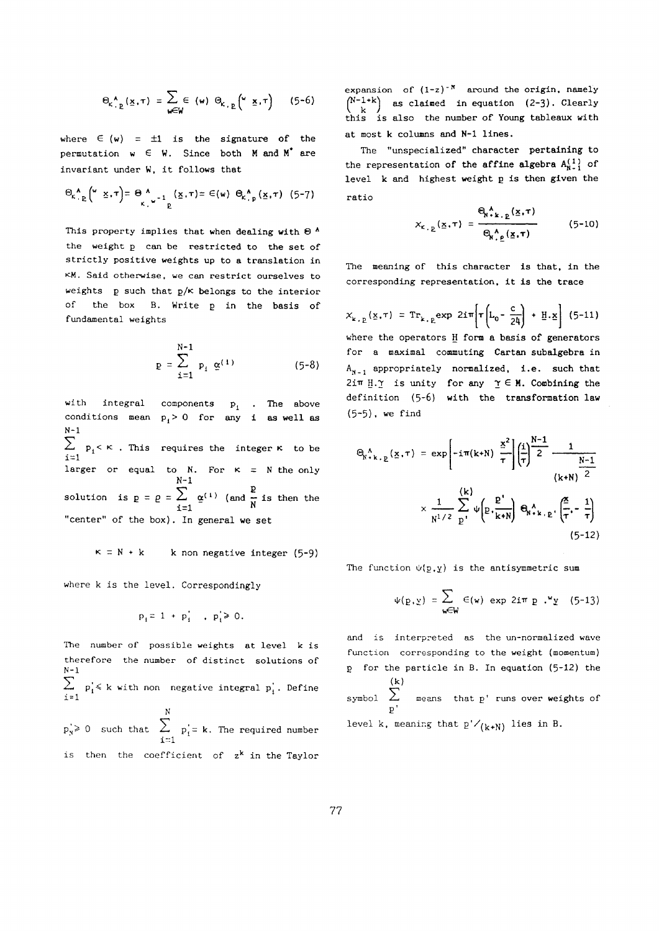$$
\Theta_{K_{+}^{\Lambda_{\alpha}}}(\underline{x},\tau) = \sum_{w\in W} \in (w) \Theta_{K_{+}^{\Lambda_{\alpha}}}(\textbf{w},\underline{x},\tau) \qquad (5\text{-}6)
$$

where  $\in$   $(w)$  =  $\pm$ 1 is the signature of the **permutation**  $w \in W$ . Since both **M** and **M<sup>\*</sup>** are **invariant under W, it follows that** 

$$
\Theta_{\kappa} \mathop{\wedge}\limits^{\mathbf{A}}_{\mathbf{P}} \left( \mathop{\wedge}\limits^{\mathbf{U}} \mathop{\underline{\times}}\limits^{\mathbf{A}} , \tau \right) = \Theta \mathop{\wedge}\limits^{\mathbf{A}}_{\mathbf{K}} \mathop{\wedge}\limits^{\mathbf{I}}_{\mathbf{P}} \left( \mathop{\underline{\times}}\limits^{\mathbf{A}} , \tau \right) = \Theta(\mathop{\wedge}\limits^{\mathbf{U}}) \Theta_{\kappa} \mathop{\wedge}\limits^{\mathbf{A}}_{\mathbf{P}} (\mathop{\underline{\times}}\limits^{\mathbf{A}} , \tau) \quad (5-7)
$$

This property implies that when dealing with  $\Theta$   $'$ **the weight can be restricted to the set of strictly positive weights up to a translation in KM. Said otherwise, we can restrict ourselves to weights such that ρ/ belongs to the interior of the box B. Write in the basis of fundamental weights** 

$$
p = \sum_{i=1}^{N-1} p_i \, \, \underline{\alpha}^{(1)} \tag{5-8}
$$

**with integral components p1 . The above**  conditions mean  $p_i > 0$  for any i as well as **N-l**   $\sum_{i=1}^{n} p_i \leq \kappa$ . This requires the integer **k** to be **i-1 larger or equal to N, For = the only N-l Ε**   $\frac{1}{N}$  **1 c** *and*  $\frac{1}{N}$  **d**  $\frac{1}{N}$ **i**<br>The december 1000 **"center" of the box). In general we set** 

$$
\kappa = N + k \qquad k \text{ non negative integer (5-9)}
$$

**where k is the level. Correspondingly** 

$$
p_i = 1 + p_i^{\dagger} , p_i \ge 0.
$$

**The number of possible weights at level k is therefore the number of distinct solutions of N-l pj< k with non negative integral pj. Define i = l** 

**Ν**   $p'_s \ge 0$  such that  $\angle p'_i = k$ . The required number **i=l is then the coefficient of z<sup>k</sup> in the Taylor**  **expansion of (l-z)~K around the origin, namely**   $\begin{bmatrix} N^{\ast}1^{+K} \end{bmatrix}$  as claimed in equation (2-3). Clearly **this is also the number of Young tableaux with at most k columns and N-l lines.** 

**The "unspecialized" character pertaining to**  the representation of the affine algebra  $A_{N-1}^{(1)}$  of **level k and highest weight is then given the ratio** 

$$
X_{\kappa, \underline{p}}(\underline{x}, \tau) = \frac{\mathbb{e}_{\substack{\Lambda, \underline{k}, \underline{p} \\ \vdots \\ \mathbb{e}_{\substack{\Lambda, \underline{\rho} \\ \vdots \\ \ell}}(\underline{x}, \tau)}} \tag{5-10}
$$

**The meaning of this character is that, in the corresponding representation, it is the trace** 

$$
X_{k,\,p}(x,\tau) = \mathrm{Tr}_{k,\,p} \exp \ 2i\pi \left[ \tau \left( L_0 - \frac{c}{24} \right) + \underline{H} \cdot \underline{x} \right] \tag{5-11}
$$

where the operators **H** form a basis of generators **for a maximal commuting Cartan subalgebra in A <sup>N</sup> <sup>1</sup> appropriately normalized, i.e. such that 2iTT Η. is unity for any G M. Combining the definition** (5-6) **with the transformation law**  (5\*5)**. w e find** 

$$
\Theta_{\kappa^* k, p}(\underline{x}, \tau) = \exp\left[-i\pi(k+N) \frac{\underline{x}^2}{\tau}\right] \left(\frac{i}{\tau}\right)^{N-1} \frac{1}{2}
$$
  

$$
\times \frac{1}{N^{1/2}} \sum_{p'}^{(k)} \psi\left[\underline{v}, \frac{\underline{p'}}{k+N}\right] \Theta_{\kappa^* k, p'}\left(\frac{\underline{x}}{\tau}, -\frac{1}{\tau}\right)
$$
  
(5-12)

**The function Ψ(ρ.γ) is the antisymmetric sum** 

$$
\psi(\underline{p}, \underline{y}) = \sum_{w \in W} \in (w) \exp 2i\pi \underline{p} \cdot \underline{y} \quad (5-13)
$$

**and is interpreted as the un-normalized wave function corresponding to the weight (momentum) for the particle in B. In equation** (5-12) the **(k) symbol means that p' runs over weights of P'**  level k, meaning that  $p'/_{(k+N)}$  lies in B.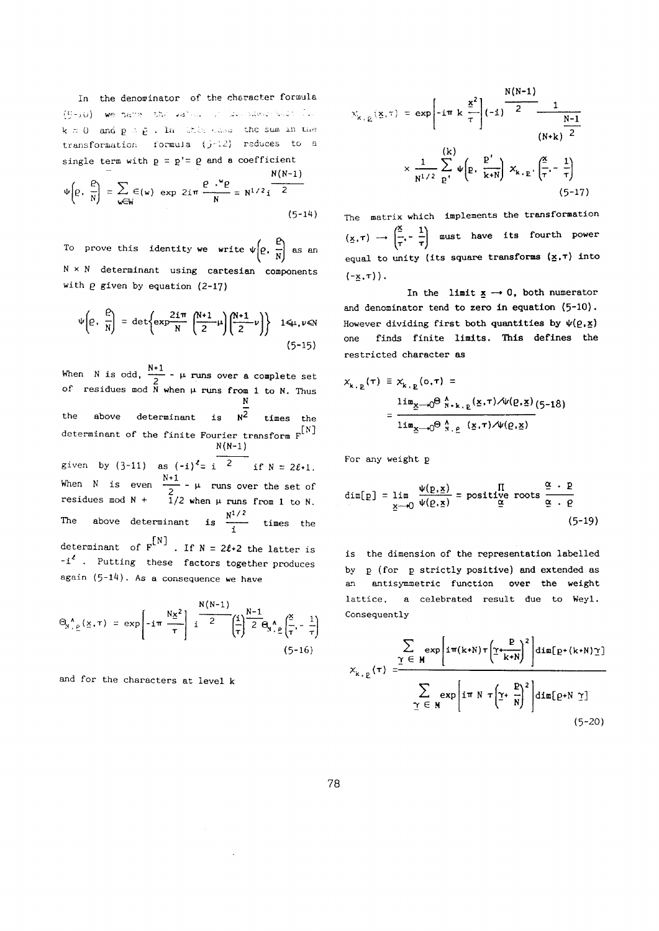**In the denominator** of the **cheracter** formula (5-10) we have the value of law share such line  ${\bf k} \equiv {\bf 0}$  and  ${\bf p} = {\bf \tilde{p}}$  . In this same the sum in the transformation formula  $(j - 12)$  reduces to a single term with  $p = p' = \rho$  and a coefficient **N(N-l)** 

$$
\Psi\left(P, \frac{P}{N}\right) = \sum_{w \in W} \in (w) \exp 2i\pi \frac{P \cdot {}^{w}P}{N} = N^{1/2}i^{\frac{N(N-1)}{2}}
$$
\n(5-14)

To prove this identity we write  $\psi\left[\rho, \frac{\rho}{N}\right]$  as an  **χ Ν determinant using cartesian components with** *2* **given by equation** (2-17)

$$
\Psi\left(\varrho,\ \frac{\varrho}{N}\right) = \det\left\{\exp\frac{2i\pi}{N}\left(\frac{N+1}{2}\mu\right)\left(\frac{N+1}{2}\nu\right)\right\} \quad 1\leq \mu,\nu\leq N\tag{5-15}
$$

**N\*l When is odd, — μ runs over a complete set of residues mod when μ runs from 1 to N. Thus Ν**  the above determinant is  $N^2$  times the determinant of the finite Fourier transform  $F^{[N]}$ **N(N-l) given** by (3-11) **as**  $(-i)^{\ell} = i$  **2** if  $N = 2\ell + 1$ . **N+l**   $m$  **is even**  $\frac{m}{2}$  **μ runs** over the set of  $\bar{\text{\i}}$  ,  $n^{1/2}$ Ine above determinant is **times** the **i**   $\mathbf{a} \cdot \mathbf{i}^{\ell}$ . Putting these factors together produces

$$
N(N-1)
$$
 N<sub>-1</sub>

again (5-14). As a consequence we have

$$
\Theta_{N, \rho}(\underline{x}, \tau) = \exp\left[-i\pi \frac{N\underline{x}^2}{\tau}\right] i \frac{\left(1 - \frac{N-1}{2} \right) \left(1 - \frac{N-1}{2} \right)}{2 \Theta_{N, \rho}(\frac{x}{\tau}) - \frac{1}{\tau}} \tag{5-16}
$$

**and for the characters at level k** 

$$
X_{k, p}(\mathbf{x}, \tau) = \exp\left[-i\pi k \frac{\mathbf{x}^2}{\tau}\right] \left(-i\right) \frac{N(N-1)}{2} \frac{1}{\left(N+k\right)^{\frac{N-1}{2}}}
$$

$$
\times \frac{1}{N^{1/2}} \sum_{p}^{(k)} \psi\left(p, \frac{p'}{k+N}\right) X_{k, p} \left(\frac{\mathbf{x}}{\tau}, -\frac{1}{\tau}\right)
$$

$$
(5-17)
$$

**The matrix which implements the transformation**   $(\underline{x}, \tau) \rightarrow \left(\frac{\underline{x}}{\tau}, -\frac{1}{\tau}\right)$  must have its fourth power **equal to unity (its square transforms (χ,τ) into**   $\left(-x,\tau\right)$ .

In the limit  $\underline{x} \rightarrow 0$ , both numerator **and denominator tend to zero in equation** (5-10). However dividing first both quantities by  $\psi(\rho, x)$ **one finds finite limits. This defines the restricted character as** 

$$
x_{k, p}(\tau) \equiv x_{k, p}(\mathbf{o}, \tau) =
$$
  
= 
$$
\frac{\lim_{x \to 0} \Theta_{N+k, p}(\mathbf{x}, \tau) \mathcal{A} \nu(\mathbf{p}, \mathbf{x})}{\lim_{x \to 0} \Theta_{N, p}(\mathbf{x}, \tau) \mathcal{A} \nu(\mathbf{p}, \mathbf{x})}
$$
 (5-18)

**For any weight ρ** 

 $\overline{ }$ 

$$
\dim[\mathbf{p}] = \lim_{\underline{\mathbf{x}} \to 0} \frac{\psi(\mathbf{p}, \underline{\mathbf{x}})}{\psi(\mathbf{p}, \underline{\mathbf{x}})} = \text{positive roots } \frac{\underline{\alpha} \cdot \underline{\mathbf{p}}}{\underline{\alpha} \cdot \underline{\mathbf{p}}}
$$
(5-19)

**is the dimension of the representation labelled by (for strictly positive) and extended as an antisymmetric function over the weight lattice, a celebrated result due to Weyl. Consequently** 

$$
X_{k, p}(\tau) = \frac{\sum_{\Upsilon \in M} \exp\left[i\pi(k+N)\tau \left(\Upsilon + \frac{p}{k+N}\right)^2\right] \dim[p+(k+N)\Upsilon]}{\sum_{\Upsilon \in M} \exp\left[i\pi N \tau \left(\Upsilon + \frac{p}{N}\right)^2\right] \dim[p+N \Upsilon]}
$$
\n(5-20)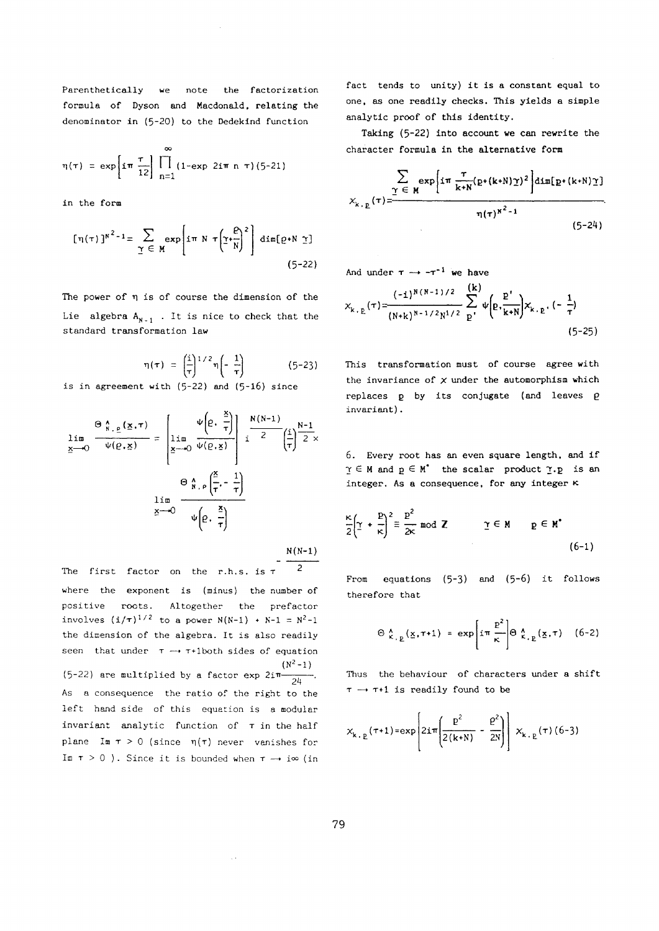Parenthetically we note the factorization **formula of Dyson and Macdonald, relating the denominator in** (5~20) **to the Dedekind function** 

$$
\eta(\tau) = \exp \left[ i \pi \frac{\tau}{12} \right] \prod_{n=1}^{\infty} (1 - \exp 2i \pi n \tau) (5-21)
$$

**in the form** 

$$
[\pi(\tau)]^{N^2-1} = \sum_{\Upsilon \in M} \exp\left[i\pi N \tau \left(\Upsilon + \frac{\rho}{N}\right)^2\right] \dim[\rho + N \Upsilon]
$$
\n(5-22)

**The power of is of course the dimension of the**  Lie algebra  $A_{N-1}$ . It is nice to check that the **standard transformation law** 

$$
\eta(\tau) = \left(\frac{1}{\tau}\right)^{1/2} \eta\left(-\frac{1}{\tau}\right) \tag{5-23}
$$

**i s in agreement with** (5~22) **and** (5\*l6) **since** 

$$
\lim_{\underline{x}\to 0} \frac{\Theta_{\underline{N},\underline{p}}(\underline{x},\tau)}{\psi(\underline{\rho},\underline{x})} = \left[\lim_{\underline{x}\to 0} \frac{\psi\left(\underline{\rho},\frac{\underline{x}}{\tau}\right)}{\psi(\underline{\rho},\underline{x})}\right] \frac{N(N-1)}{2} \left(\frac{1}{\tau}\right)^{\underline{N-1}} \times \frac{\Theta_{\underline{N},\underline{p}}\left(\frac{\underline{x}}{\tau},-\frac{1}{\tau}\right)}{\frac{\underline{N}\left(\frac{\underline{x}}{\tau},-\frac{1}{\tau}\right)}{\psi\left(\underline{\rho},\frac{\underline{x}}{\tau}\right)}}
$$

**N(N-l)** 

 $2<sup>1</sup>$ **The first factor on the r.h.s. is τ where the exponent is (minus) the number of positive roots. Altogether the prefactor**   $i$  **involves**  $(i/\tau)^{1/2}$  to a power  $N(N-1) + N-1 = N^2-1$ **the dimension of the algebra. It is also readily**  seen that under  $\tau \rightarrow \tau + 1$  both sides of equation  $(N^2-1)$ **(5-22)** are multiplied by a factor  $\exp 2i\pi$ . **As a consequence the ratio of the right to the left hand side of this equation is a modular invariant analytic function of in the half plane Im > 0 (since η(τ) never vanishes for Im**  $\tau > 0$  ). Since it is bounded when  $\tau \rightarrow i\infty$  (in

 $\sim$ 

**fact tends to unity) it is a constant equal to one, as one readily checks. This yields a simple analytic proof of this identity.** 

**Taking** (5~22) **into account we can rewrite the character formula in the alternative form** 

$$
\sum_{\substack{\Upsilon \in M}} \exp\left[i\pi \frac{\tau}{k+N} (p+(k+N)\Upsilon)^2\right] \dim[p+(k+N)\Upsilon]
$$
\n
$$
\chi_{k,\underline{p}}(\tau) = \frac{\eta(\tau)^{n^2-1}}{(5-24)}
$$

And under  $\tau \rightarrow -\tau^{-1}$  we have

$$
x_{k, p}(\tau) = \frac{(-1)^{N(N-1)/2}}{(N+k)^{N-1/2}N^{1/2}} \sum_{p}^{(k)} \psi \left(p, \frac{p'}{k+N}\right) x_{k, p} \cdot (-\frac{1}{\tau})
$$
\n(5-25)

**This transformation must of course agree with**  the invariance of  $\times$  under the automorphism which **replaces by its conjugate (and leaves g invariant).** 

**6. Every root has an even square length, and if**   $\gamma \in M$  and  $p \in M^*$  the scalar product  $\gamma$ . p is an **integer. As a consequence, for any integer κ** 

$$
\frac{\kappa}{2}\left(\underline{\gamma} + \frac{\underline{p}}{\kappa}\right)^2 \equiv \frac{\underline{p}^2}{2\kappa} \mod \mathbb{Z} \qquad \qquad \underline{\gamma} \in \mathbb{M} \qquad \underline{p} \in \mathbb{M}^* \tag{6-1}
$$

From equations (5-3) and (5-6) it follows **therefore that** 

$$
\Theta \stackrel{\lambda}{\kappa}_{\cdot, \underline{p}}(\underline{x}, \tau + 1) = \exp \left[ i \pi \frac{\underline{p}^2}{\kappa} \right] \Theta \stackrel{\lambda}{\kappa}_{\cdot, \underline{p}}(\underline{x}, \tau) \quad (6-2)
$$

**Thus the behaviour of characters under a shift —» T+l is readily found to be** 

$$
x_{k,\,p}(\tau+1) = \exp\left[2i\pi\left(\frac{p^2}{2(k+N)} - \frac{p^2}{2N}\right)\right] x_{k,\,p}(\tau) \tag{6-3}
$$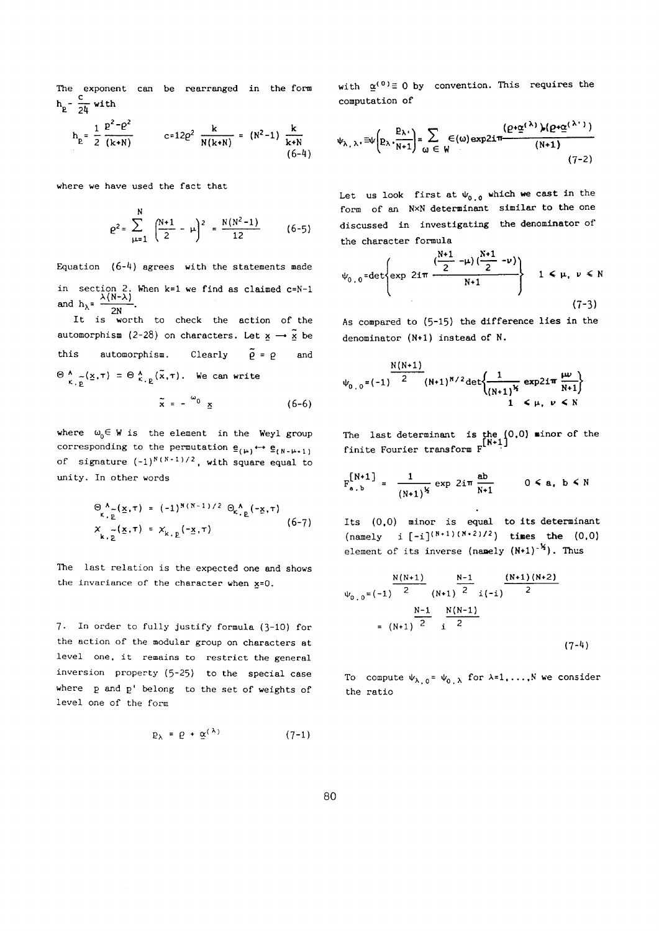**The exponent can be rearranged in the form**   $h_p - \frac{c}{24}$  with

$$
h_{E} = \frac{1}{2} \frac{P^{2} - P^{2}}{(k + N)}
$$
  $c = 12P^{2} \frac{k}{N(k + N)} = (N^{2} - 1) \frac{k}{k + N}$  (6-4)

**where we have used the fact that** 

$$
\varrho^{2} = \sum_{\mu=1}^{N} \left( \frac{N+1}{2} - \mu \right)^{2} = \frac{N(N^{2}-1)}{12} \qquad (6-5)
$$

**Equation** (6-4) **agrees with the statements made**  in section 2. When k=1 we find as claimed c=N-1  $\frac{\lambda(N-\lambda)}{2N}$ .

**It is worth to check the action of the automorphism** (2-28) on characters. Let  $x \rightarrow \tilde{x}$  be this automorphism. Clearly  $\tilde{\rho} = \rho$  and **A ~(χ,τ) = } (χ,τ). We can write**   $\mathbb{R}^+$ 

$$
\bar{x} = -\begin{bmatrix} 6-6 \end{bmatrix}
$$

where  $\omega_0 \in W$  is the element in the Weyl group corresponding to the permutation  $\underline{e}_{(\mu)} \leftrightarrow \underline{e}_{(\mu-\mu+1)}$ **of signature (-1) N(N " <sup>1</sup> )/2 , with square equal to unity. In other words** 

$$
\begin{array}{l}\n\Theta_{\kappa,\Sigma}^{\Lambda}(\underline{x},\tau) = (-1)^{N(N-1)/2} \Theta_{\kappa,\Sigma}^{\Lambda}(-\underline{x},\tau) \\
X_{\kappa,\Sigma}(\underline{x},\tau) = X_{\kappa,\Sigma}(-\underline{x},\tau)\n\end{array} (6-7)
$$

**The last relation is the expected one and shows the invariance of the character when x=0.** 

7· **In order to fully justify formula** (3~10) **for the action of the modular group on characters at level one, it remains to restrict the general inversion property** (5~25) **to the special case where and p' belong to the set of weights of level one of the form** 

$$
p_{\lambda} = \varrho + \underline{\alpha}^{(\lambda)} \tag{7-1}
$$

with  $\alpha^{(0)} \equiv 0$  by convention. This requires the **computation of** 

$$
\psi_{\lambda,\lambda} = \psi \left( p_{\lambda} \cdot \frac{p_{\lambda}}{N+1} \right) = \sum_{\omega \in W} \epsilon(\omega) \exp 2i\pi \frac{\left( \rho \cdot \underline{\alpha}^{(\lambda)} \right) \left( \rho \cdot \underline{\alpha}^{(\lambda')} \right)}{\left( N+1 \right)}
$$
(7-2)

Let us look first at  $\Psi_{0,0}$  which we cast in the **form of an NxN determinant similar to the one discussed in investigating the denominator of the character formula** 

$$
\psi_{0,0} = \det \left\{ \exp \ 2i\pi \frac{\left(\frac{N+1}{2} - \mu\right)\left(\frac{N+1}{2} - \nu\right)}{N+1} \right\} \quad 1 \leq \mu, \ \nu \leq N
$$
\n(7-3)

As compared to  $(5-15)$  the difference lies in the **denominator (N+l) instead of N.** 

$$
\psi_{0,0} = (-1)^{\frac{N(N+1)}{2}} (N+1)^{N/2} \det \left\{ \frac{1}{(N+1)^{N}} \exp 2i\pi \frac{\mu\nu}{N+1} \right\}
$$
  
1  $\leftarrow \mu, \nu \leftarrow N$ 

**The last determinant is the (0,0) ninor of the [N**+1J **finite Fourier transform F** 

$$
F_{a, b}^{[N+1]} = \frac{1}{(N+1)^{\frac{1}{2}}} \exp 2i\pi \frac{ab}{N+1} \qquad 0 \le a, b \le N
$$

**Its (0,0) minor is equal to its determinant**   $(\text{namely } i [-i]^{(N+1)(N+2)/2})$  times the  $(0,0)$ **element of its inverse (nanely (N+l) ). Thus** 

$$
\psi_{0,0} = (-1)^{\frac{N(N+1)}{2}} \frac{N-1}{(N+1)^{\frac{N-1}{2}} i(-1)^{\frac{(N+1)(N+2)}{2}}}
$$
  
=  $(N+1)^{\frac{N-1}{2}} i^{\frac{N(N-1)}{2}}$  (7-4)

To compute  $\psi_{\lambda, 0} = \psi_{0, \lambda}$  for  $\lambda = 1, \ldots, N$  we consider **the ratio**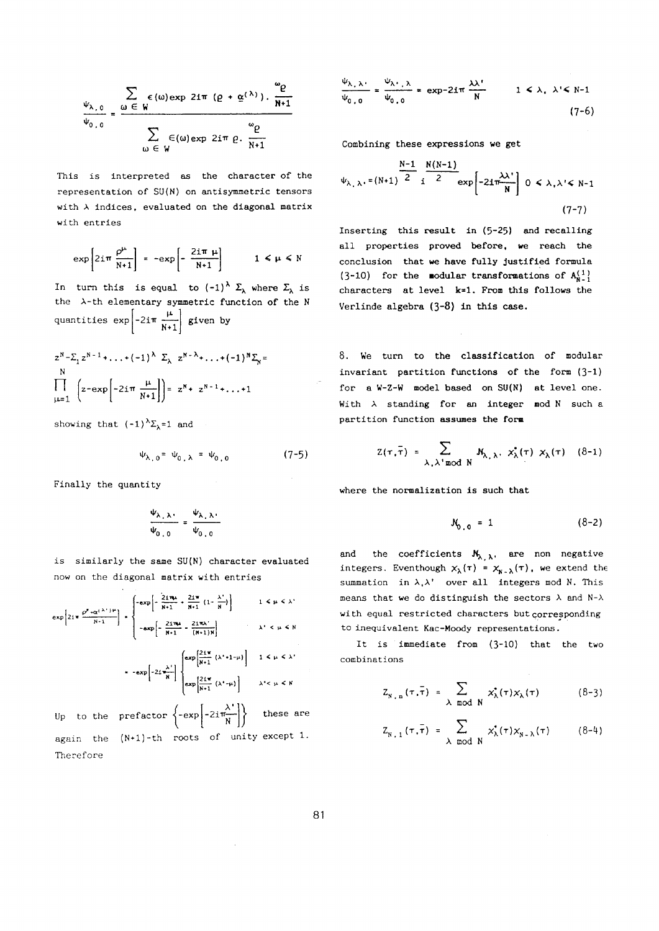$$
\frac{\Psi_{\lambda,0}}{\Psi_{0,0}} = \frac{\sum_{\omega \in W} \epsilon(\omega) \exp 2i\pi (p + \underline{\alpha}^{(\lambda)}), \frac{\omega_{\rho}}{N+1}}{\sum_{\omega \in W} \epsilon(\omega) \exp 2i\pi p, \frac{\omega_{\rho}}{N+1}}
$$

**This is interpreted as the character of the representation of** SU**{N) on antisymmetric tensors with indices, evaluated on the diagonal matrix with entries** 

$$
\exp\left[2i\pi \frac{\rho^{\mu}}{N+1}\right] = -\exp\left[-\frac{2i\pi \mu}{N+1}\right] \qquad 1 \leq \mu \leq N
$$

In turn this is equal to  $(-1)^{\lambda} \Sigma_{\lambda}$  where  $\Sigma_{\lambda}$  is **the -th elementary symmetric function of the Ν**   $2\pi$   $\mu$  $q$ uantities exp<sup> $\begin{bmatrix} 21 \\ 1 \end{bmatrix}$   $N+1$   $\begin{bmatrix} 51 \text{cm} \\ 0 \end{bmatrix}$ </sup> **[ N+l]** 

$$
z^{N} - \sum_{1} z^{N-1} + \ldots + (-1)^{\lambda} \sum_{\lambda} z^{N-\lambda} + \ldots + (-1)^{N} \sum_{N} z^{N}
$$
  
\n
$$
\prod_{\mu=1}^{N} \left( z - \exp \left[ -2i \pi \frac{\mu}{N+1} \right] \right) = z^{N} + z^{N-1} + \ldots + 1
$$

showing that  $(-1)^{\lambda} \Sigma_{\lambda} = 1$  and

$$
\Psi_{\lambda,0} = \Psi_{0,\lambda} = \Psi_{0,0} \tag{7-5}
$$

**Finally the quantity** 

$$
\frac{\Psi_{\lambda_1,\lambda_2}}{\Psi_{0,0}} = \frac{\Psi_{\lambda_1,\lambda_2}}{\Psi_{0,0}}
$$

**is similarly the same SU(N) character evaluated now on the diagonal matrix with entries** 

$$
\exp\left[2i\pi \frac{\rho^{\mu} \cdot \alpha(\lambda^{\mu})^{\mu}}{N+1}\right] = \begin{cases}\n-\exp\left[-\frac{2i\pi\mu}{N+1} + \frac{2i\pi}{N+1} (1-\frac{\lambda^{\mu}}{N})\right] & 1 \leq \mu \leq \lambda^{\mu} \\
-\exp\left[-\frac{2i\pi\mu}{N+1} - \frac{2i\pi\lambda^{\mu}}{(N+1)N}\right] & \lambda^{\mu} \leq \mu \leq N \\
-\exp\left[-2i\frac{\lambda^{\mu}}{N}\right] & \frac{\exp\left[\frac{2i\pi}{N+1} (\lambda^{\mu} + 1)^{\mu}\right]}{N+1} & 1 \leq \mu \leq \lambda^{\mu} \\
\exp\left[\frac{2i\pi}{N+1} (\lambda^{\mu} + \mu)\right] & 1 \leq \mu \leq \lambda^{\mu} \\
\exp\left[\frac{2i\pi}{N+1} (\lambda^{\mu} + \mu)\right] & \lambda^{\mu} \leq \mu \leq N\n\end{cases}
$$
\nUp to the prefactor  $\left\{-\exp\left[-2i\frac{\lambda^{\mu}}{N}\right]\right\}$  these are again the  $(N+1)$ -th roots of unity except 1.

\nTherefore

$$
\frac{\psi_{\lambda,\lambda}}{\psi_{0,0}} = \frac{\psi_{\lambda',\lambda}}{\psi_{0,0}} = \exp{-2i\pi \frac{\lambda\lambda'}{N}} \qquad 1 \le \lambda, \lambda' \le N-1
$$
\n(7-6)

**Combining these expressions we get** 

$$
\psi_{\lambda,\lambda} = (N+1) \frac{N-1}{2} \frac{N(N-1)}{2} \exp\left[-2i\frac{\lambda\lambda^*}{N}\right] \quad 0 \le \lambda, \lambda^* \le N-1
$$
\n(7-7)

**Inserting this result in** (5~25) **and recalling all properties proved before, we reach the conclusion that we have fully justified formula**   $(3-10)$  for the **modular transformations of**  $A_{N-1}^{(1)}$ **characters at level k=l. From this follows the Verlinde algebra** (3~8) **in this case.** 

8. **We turn to the classification of modular**  invariant partition functions of the form (3-1) **for a W-Z-W model based on SU(N) at level one.**  With  $\lambda$  standing for an integer mod  $N$  such a **partition function assumes the form** 

$$
Z(\tau, \bar{\tau}) = \sum_{\lambda, \lambda' \mod N} \mathbf{N}_{\lambda, \lambda'} \times_{\lambda}^{\bullet} (\tau) \times_{\lambda} (\tau) \quad (8-1)
$$

**where the normalization is such that** 

$$
\mathcal{N}_{0,0} = 1 \tag{8-2}
$$

**and the coefficients** *Ηχ* **, are non negative integers.** Eventhough  $\chi_{\lambda}(\tau) = \chi_{\overline{N} \cdot \lambda}(\tau)$ , we extend the **summation in λ,λ' over all integers mod N. This means that we do distinguish the sectors and Ν-λ with equal restricted characters but corresponding to inequivalent Kac-Moody representations.** 

**It is immediate from** (3~10) **that the two combinations** 

$$
\mathbf{y}_{\lambda,\mathbf{n}}(\tau,\bar{\tau}) = \sum_{\lambda \mod N} x_{\lambda}^{\star}(\tau) x_{\lambda}(\tau) \quad (8-3)
$$

$$
Z_{N+1}(\tau,\bar{\tau}) = \sum_{\lambda \mod N} x_{\lambda}^*(\tau) x_{N-\lambda}(\tau) \qquad (8-4)
$$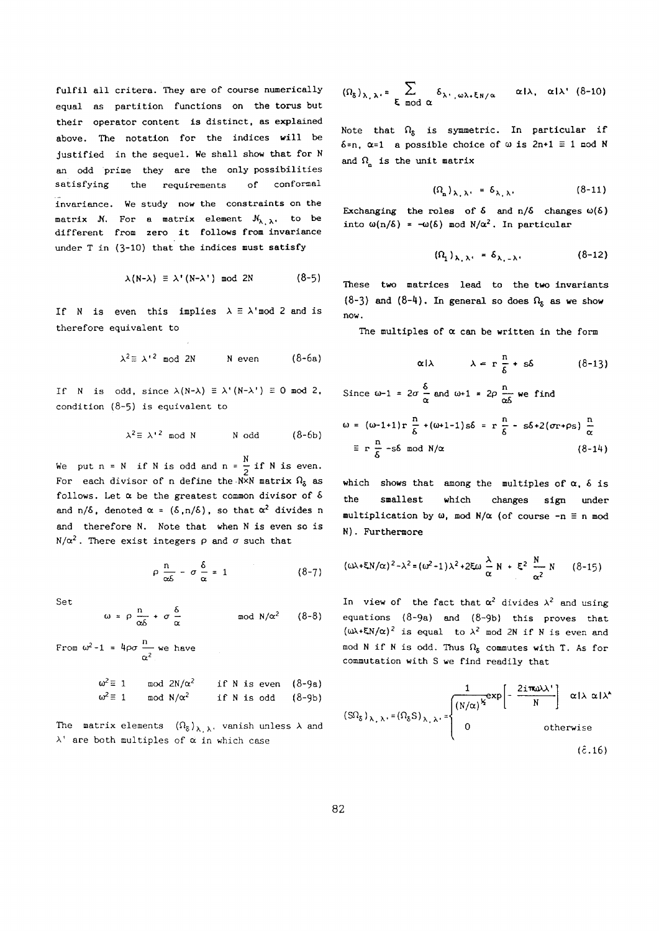**fulfil all critera. They are of course numerically equal as partition functions on the torus but their operator content is distinct, as explained above. The notation for the indices will be justified in the sequel. We shall show that for Ν an odd prime they are the only possibilities satisfying the requirements of conformai invariance. We study now the constraints on the**  matrix  $M$ . For a matrix element  $M_{\lambda_1,\lambda_2}$ , to be **different from zero it follows from invariance**  under **T** in (3-10) that the indices must satisfy

$$
\lambda(N-\lambda) \equiv \lambda'(N-\lambda') \mod 2N \qquad (8-5)
$$

If **N** is even this implies  $\lambda \equiv \lambda' \mod 2$  and is **therefore equivalent to** 

$$
\lambda^2 \equiv \lambda^{12} \mod 2N \qquad \text{N even} \qquad (8-6a)
$$

**If is odd, since λ(Ν-λ) Ξ λ'(Ν-λ') Ξ** 0 **mod** 2, **condition** (8-5) **is equivalent to** 

$$
\lambda^2 \equiv \lambda^{12} \mod N \qquad \text{N odd} \qquad (8-6b)
$$

We put  $n = N$  if N is odd and  $n = \frac{N}{2}$  if N is even. **2 For each divisor of define the-NxN matrix \$ as follows. Let be the greatest common divisor of δ**  and  $n/\delta$ , denoted  $\alpha = (\delta, n/\delta)$ , so that  $\alpha^2$  divides n **and therefore N. Note that when is even so is N/α<sup>2</sup>**. There exist integers  $ρ$  and  $σ$  such that

$$
\rho \frac{n}{\alpha \delta} - \sigma \frac{\delta}{\alpha} = 1 \tag{8-7}
$$

**S et** 

$$
\omega = \rho \frac{n}{\alpha \delta} + \sigma \frac{\delta}{\alpha} \qquad \qquad \text{mod } N/\alpha^2 \qquad (8-8)
$$

From  $\omega^2 - 1 = 4\rho\sigma \xrightarrow{\alpha} \omega e$  have  $\omega^2 \equiv 1$  **mod**  $2N/\alpha^2$  **if N** is even (8-9a)  $\omega^2 \equiv 1$  **mod**  $N/\alpha^2$  **if N** is odd (8-9b)

The matrix elements 
$$
(\Omega_{\delta})_{\lambda, \lambda}
$$
, vanish unless  $\lambda$  and  $\lambda$  are both multiples of  $\alpha$  in which case

$$
(\Omega_{\delta})_{\lambda,\lambda'} = \sum_{\xi \mod \alpha} \delta_{\lambda',\omega\lambda,\xi_{N/\alpha}} \quad \alpha!\lambda, \alpha!\lambda' \quad (8-10)
$$

Note that  $\Omega_{\varepsilon}$  is symmetric. In particular if  $\delta$ =n,  $\alpha$ =1 a possible choice of  $\omega$  is  $2n+1 \equiv 1$  **nod** N and  $\Omega$ <sub>c</sub> is the unit matrix

$$
(\Omega_n)_{\lambda_1,\lambda_2} = \delta_{\lambda_1,\lambda_2} \tag{8-11}
$$

Exchanging the roles of  $\delta$  and  $n/\delta$  changes  $\omega(\delta)$ **into**  $\omega(n/\delta) = -\omega(\delta)$  **mod**  $N/\alpha^2$ . In particular

$$
(\Omega_1)_{\lambda_1,\lambda_2} = \delta_{\lambda_1-\lambda_2} \tag{8-12}
$$

**These two matrices lead to the two invariants**   $(8-3)$  and  $(8-4)$ . In general so does  $\Omega_{\delta}$  as we show **now.** 

The multiples of  $\alpha$  can be written in the form

$$
\alpha | \lambda \qquad \lambda = r \frac{n}{\delta} + s\delta \qquad (8-13)
$$

Since 
$$
\omega-1 = 2\sigma \frac{\delta}{\alpha}
$$
 and  $\omega+1 = 2\rho \frac{n}{\alpha\delta}$  we find  
\n
$$
\omega = (\omega-1+1) r \frac{n}{\delta} + (\omega+1-1) s\delta = r \frac{n}{\delta} - s\delta + 2(\sigma r + \rho s) \frac{n}{\alpha}
$$
\n
$$
\equiv r \frac{n}{\delta} - s\delta \mod N/\alpha \qquad (8-14)
$$

which shows that among the multiples of  $\alpha$ ,  $\delta$  is **the smallest which changes sign under**   $multiplication by \omega$ ,  $mod N/\alpha$  (of course  $-n \equiv n \mod 2$ **N ). Furthermore** 

$$
(\omega \lambda + \xi N/\alpha)^2 - \lambda^2 = (\omega^2 - 1)\lambda^2 + 2\xi \omega \frac{\lambda}{\alpha} N + \xi^2 \frac{N}{\alpha^2} N \qquad (8-15)
$$

In view of the fact that  $\alpha^2$  divides  $\lambda^2$  and using **equations** (8-9a) **and** (8-9b) **this proves that**   $(\omega \lambda + \xi N/\alpha)^2$  is equal to  $\lambda^2$  mod 2N if N is even and mod N if N is odd. Thus  $\Omega_8$  commutes with T. As for **commutation with S we find readily that** 

$$
(\text{S}\Omega_{\delta})_{\lambda,\lambda} = (\Omega_{\delta}\text{S})_{\lambda,\lambda} = \begin{cases} \frac{1}{(N/\alpha)^{k}} \exp\left[-\frac{2i\pi\omega\lambda^{*}}{N}\right] & \text{if } \lambda \propto |\lambda^{*}| \\ 0 & \text{otherwise} \end{cases}
$$
\n
$$
\text{(8.16)}
$$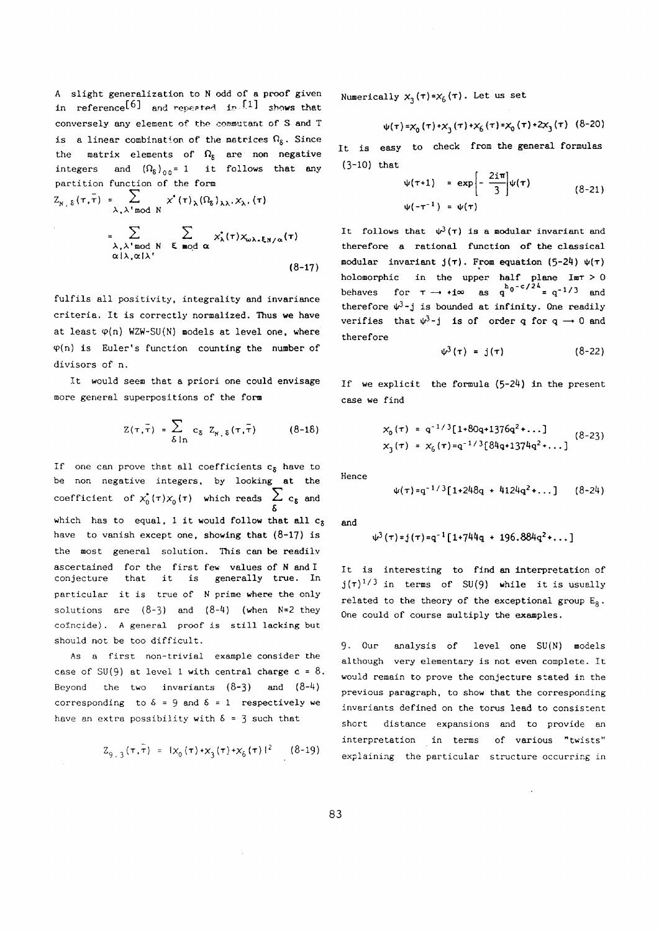**A slight generalization to odd of a proof given**   $\text{in}$  **reference**<sup>[6]</sup> and **repeated**  $\text{in}$ <sup>[1]</sup> shows that **conversely any element of the commutant of S and Τ**  is a linear combination of the matrices  $\Omega_{\delta}$ . Since the matrix elements of  $\Omega_{\rm g}$  are non negative  $integers$  and  $(\Omega_{\delta})_{00} = 1$  it follows that any **partition function of the form** 

$$
Z_{N, \delta}(\tau, \bar{\tau}) = \sum_{\lambda, \lambda' \bmod N} x^*(\tau)_{\lambda} (\Omega_{\delta})_{\lambda \lambda}, X_{\lambda, (\tau)}
$$
  
= 
$$
\sum_{\substack{\lambda, \lambda' \bmod N \\ \alpha | \lambda, \alpha | \lambda'}} \sum_{\xi \bmod \alpha} x_{\lambda}^*(\tau) X_{\omega \lambda, \xi \lambda / \alpha}(\tau)
$$
  
(8-17)

**fulfils all positivity, integrality and invariance criteria. It is correctly normalized. Thus we have**  at least  $\varphi(n)$  WZW-SU(N) models at level one, where **<p(n) is Euler's function counting the number of divisors of n.** 

**It would seem that a priori one could envisage more general superpositions of the form** 

$$
Z(\tau, \bar{\tau}) = \sum_{\delta \ln} c_{\delta} Z_{\kappa, \delta}(\tau, \bar{\tau})
$$
 (8-18)

If one can prove that all coefficients  $c<sub>δ</sub>$  have to **be non negative integers, by looking at the**  coefficient of  $x_0^*(\tau)x_0(\tau)$  which reads  $\sum_{k} c_k$  and  $\cdot$ **which has to equal,** 1 **it would follow that all c<sup>s</sup> have to vanish except one, showing that** (8-17) **is the most general solution. This can be readily ascertained for the first few values of and I conjecture that it is generally true. In**  particular it is true of N prime where the only **solutions are** (8-3) **and** (8-4) **(when N**=2 **they coincide). A general proof is still lacking but should not be too difficult.** 

**As a first non-trivial example consider the case of SU**(9) **at level** 1 **with central charge c =** 8. **Beyond the two invariants** (8-3) **and** (8-4) **corresponding** to  $\delta = 9$  **and**  $\delta = 1$  **respectively we** have an extra possibility with  $\delta = 3$  such that

$$
Z_{9,3}(\tau,\bar{\tau}) = 1\chi_0(\tau) + \chi_3(\tau) + \chi_6(\tau) 1^2 \qquad (8-19)
$$

Numerically  $x_3(\tau) = x_6(\tau)$ . Let us set

$$
\psi(\tau) = x_0(\tau) + x_3(\tau) + x_6(\tau) = x_0(\tau) + 2x_3(\tau)
$$
 (8-20)

**It is easy to check from the general formulas**  (3-10) **that** 

$$
\psi(\tau+1) = \exp\left[-\frac{2i\pi}{3}\right]\psi(\tau) \qquad (8-21)
$$
  
 
$$
\psi(-\tau^{-1}) = \psi(\tau)
$$

It follows that  $\psi^3(\tau)$  is a modular invariant and **therefore a rational function of the classical modular invariant J(T). From equation (5-24) Ψ(τ) holomorphic in the upper half plane Imr >** 0 **behaves** for  $\tau \rightarrow +i\infty$  as  $q^{h}0^{-c/24} = q^{-1/3}$  and therefore  $\psi^3$ -j is bounded at infinity. One readily **verifies** that  $\Psi^3$ -**j** is of order q for  $q \rightarrow 0$  and **therefore** 

$$
\psi^3(\tau) = j(\tau) \tag{8-22}
$$

If we explicit the formula  $(5-24)$  in the present **case we find** 

$$
x_0(\tau) = q^{-1/3} [1+80q+1376q^2+\dots]
$$
  
\n
$$
x_3(\tau) = x_6(\tau) = q^{-1/3} [84q+1374q^2+\dots]
$$
 (8-23)

**Hence** 

$$
\psi(\tau) = q^{-1/3} [1 + 248q + 4124q^2 + \dots ] \qquad (8-24)
$$

**and** 

$$
\psi^3(\tau) = j(\tau) = q^{-1} [1 + 744q + 196.884q^2 + \dots]
$$

**It is interesting to find an interpretation of**   $j(\tau)^{1/3}$  in terms of SU(9) while it is usually **related to the theory of the exceptional group Eg. One could of course multiply the examples.** 

9- **Our analysis of level one SU(N) models although very elementary is not even complete. It would remain to prove the conjecture stated in the previous paragraph, to show that the corresponding invariants defined on the torus lead to consistent short distance expansions and to provide an interpretation in terms of various "twists" explaining the particular structure occurring in**